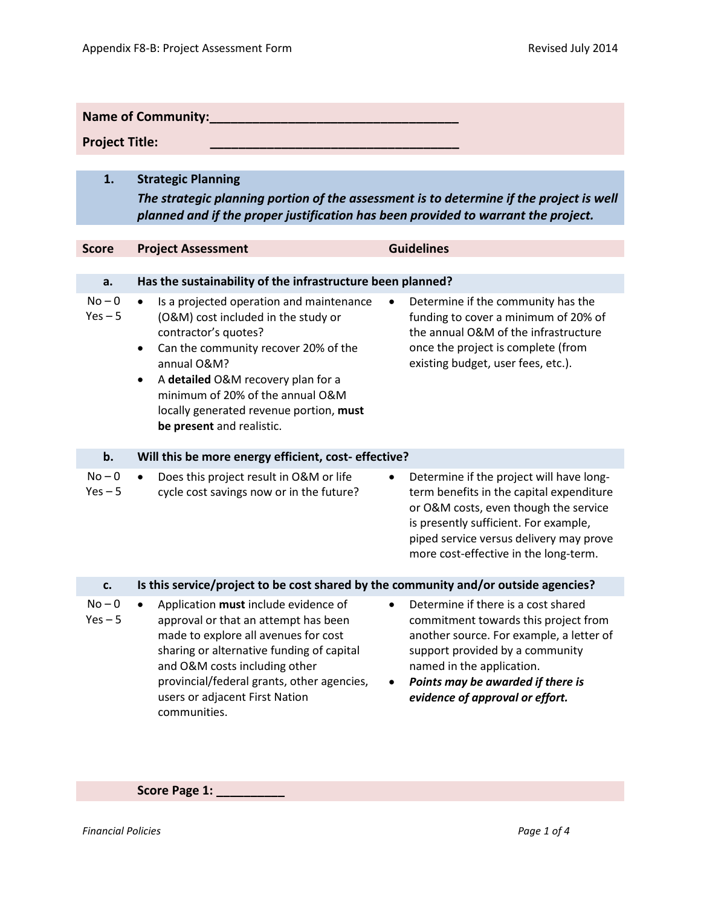| <b>Name of Community:</b> |                                                                                                                                                                                                                                                                                                                                    |                                                                                                                                                                                                                                                                 |  |  |  |  |
|---------------------------|------------------------------------------------------------------------------------------------------------------------------------------------------------------------------------------------------------------------------------------------------------------------------------------------------------------------------------|-----------------------------------------------------------------------------------------------------------------------------------------------------------------------------------------------------------------------------------------------------------------|--|--|--|--|
| <b>Project Title:</b>     |                                                                                                                                                                                                                                                                                                                                    |                                                                                                                                                                                                                                                                 |  |  |  |  |
|                           |                                                                                                                                                                                                                                                                                                                                    |                                                                                                                                                                                                                                                                 |  |  |  |  |
| 1.                        | <b>Strategic Planning</b>                                                                                                                                                                                                                                                                                                          |                                                                                                                                                                                                                                                                 |  |  |  |  |
|                           | The strategic planning portion of the assessment is to determine if the project is well<br>planned and if the proper justification has been provided to warrant the project.                                                                                                                                                       |                                                                                                                                                                                                                                                                 |  |  |  |  |
|                           |                                                                                                                                                                                                                                                                                                                                    |                                                                                                                                                                                                                                                                 |  |  |  |  |
| <b>Score</b>              | <b>Project Assessment</b>                                                                                                                                                                                                                                                                                                          | <b>Guidelines</b>                                                                                                                                                                                                                                               |  |  |  |  |
|                           |                                                                                                                                                                                                                                                                                                                                    |                                                                                                                                                                                                                                                                 |  |  |  |  |
| a.                        | Has the sustainability of the infrastructure been planned?                                                                                                                                                                                                                                                                         |                                                                                                                                                                                                                                                                 |  |  |  |  |
| $No - 0$<br>$Yes - 5$     | Is a projected operation and maintenance<br>(O&M) cost included in the study or<br>contractor's quotes?<br>Can the community recover 20% of the<br>٠<br>annual O&M?<br>A detailed O&M recovery plan for a<br>$\bullet$<br>minimum of 20% of the annual O&M<br>locally generated revenue portion, must<br>be present and realistic. | Determine if the community has the<br>funding to cover a minimum of 20% of<br>the annual O&M of the infrastructure<br>once the project is complete (from<br>existing budget, user fees, etc.).                                                                  |  |  |  |  |
| b.                        | Will this be more energy efficient, cost-effective?                                                                                                                                                                                                                                                                                |                                                                                                                                                                                                                                                                 |  |  |  |  |
| $No - 0$<br>$Yes - 5$     | Does this project result in O&M or life<br>$\bullet$<br>cycle cost savings now or in the future?                                                                                                                                                                                                                                   | Determine if the project will have long-<br>٠<br>term benefits in the capital expenditure<br>or O&M costs, even though the service<br>is presently sufficient. For example,<br>piped service versus delivery may prove<br>more cost-effective in the long-term. |  |  |  |  |
| c.                        | Is this service/project to be cost shared by the community and/or outside agencies?                                                                                                                                                                                                                                                |                                                                                                                                                                                                                                                                 |  |  |  |  |
| $No - 0$<br>$Yes - 5$     | Application must include evidence of<br>approval or that an attempt has been<br>made to explore all avenues for cost<br>sharing or alternative funding of capital<br>and O&M costs including other<br>provincial/federal grants, other agencies,<br>users or adjacent First Nation<br>communities.                                 | Determine if there is a cost shared<br>commitment towards this project from<br>another source. For example, a letter of<br>support provided by a community<br>named in the application.<br>Points may be awarded if there is<br>evidence of approval or effort. |  |  |  |  |

**Score Page 1: \_\_\_\_\_\_\_\_\_\_**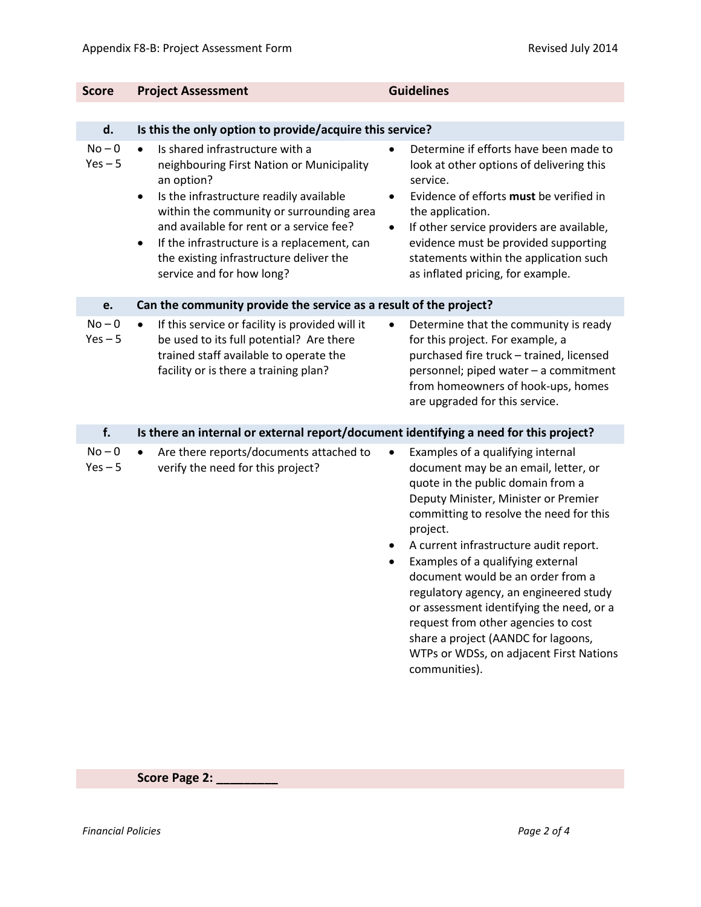| <b>Score</b>          | <b>Project Assessment</b>                                                                                                                                                                                                                                                                                                                                                                   | <b>Guidelines</b>                                                                                                                                                                                                                                                                                                                                                                                                                                                                                                                                                                   |
|-----------------------|---------------------------------------------------------------------------------------------------------------------------------------------------------------------------------------------------------------------------------------------------------------------------------------------------------------------------------------------------------------------------------------------|-------------------------------------------------------------------------------------------------------------------------------------------------------------------------------------------------------------------------------------------------------------------------------------------------------------------------------------------------------------------------------------------------------------------------------------------------------------------------------------------------------------------------------------------------------------------------------------|
|                       |                                                                                                                                                                                                                                                                                                                                                                                             |                                                                                                                                                                                                                                                                                                                                                                                                                                                                                                                                                                                     |
| d.                    | Is this the only option to provide/acquire this service?                                                                                                                                                                                                                                                                                                                                    |                                                                                                                                                                                                                                                                                                                                                                                                                                                                                                                                                                                     |
| $No - 0$<br>$Yes - 5$ | Is shared infrastructure with a<br>$\bullet$<br>neighbouring First Nation or Municipality<br>an option?<br>Is the infrastructure readily available<br>$\bullet$<br>within the community or surrounding area<br>and available for rent or a service fee?<br>If the infrastructure is a replacement, can<br>$\bullet$<br>the existing infrastructure deliver the<br>service and for how long? | Determine if efforts have been made to<br>look at other options of delivering this<br>service.<br>Evidence of efforts must be verified in<br>$\bullet$<br>the application.<br>If other service providers are available,<br>٠<br>evidence must be provided supporting<br>statements within the application such<br>as inflated pricing, for example.                                                                                                                                                                                                                                 |
| e.                    | Can the community provide the service as a result of the project?                                                                                                                                                                                                                                                                                                                           |                                                                                                                                                                                                                                                                                                                                                                                                                                                                                                                                                                                     |
| $No - 0$<br>$Yes - 5$ | If this service or facility is provided will it<br>$\bullet$<br>be used to its full potential? Are there<br>trained staff available to operate the<br>facility or is there a training plan?                                                                                                                                                                                                 | Determine that the community is ready<br>$\bullet$<br>for this project. For example, a<br>purchased fire truck - trained, licensed<br>personnel; piped water - a commitment<br>from homeowners of hook-ups, homes<br>are upgraded for this service.                                                                                                                                                                                                                                                                                                                                 |
| f.                    | Is there an internal or external report/document identifying a need for this project?                                                                                                                                                                                                                                                                                                       |                                                                                                                                                                                                                                                                                                                                                                                                                                                                                                                                                                                     |
| $No - 0$<br>$Yes - 5$ | Are there reports/documents attached to<br>$\bullet$<br>verify the need for this project?                                                                                                                                                                                                                                                                                                   | Examples of a qualifying internal<br>document may be an email, letter, or<br>quote in the public domain from a<br>Deputy Minister, Minister or Premier<br>committing to resolve the need for this<br>project.<br>A current infrastructure audit report.<br>٠<br>Examples of a qualifying external<br>$\bullet$<br>document would be an order from a<br>regulatory agency, an engineered study<br>or assessment identifying the need, or a<br>request from other agencies to cost<br>share a project (AANDC for lagoons,<br>WTPs or WDSs, on adjacent First Nations<br>communities). |

**Score Page 2: \_\_\_\_\_\_\_\_\_**

*Financial Policies Page 2 of 4*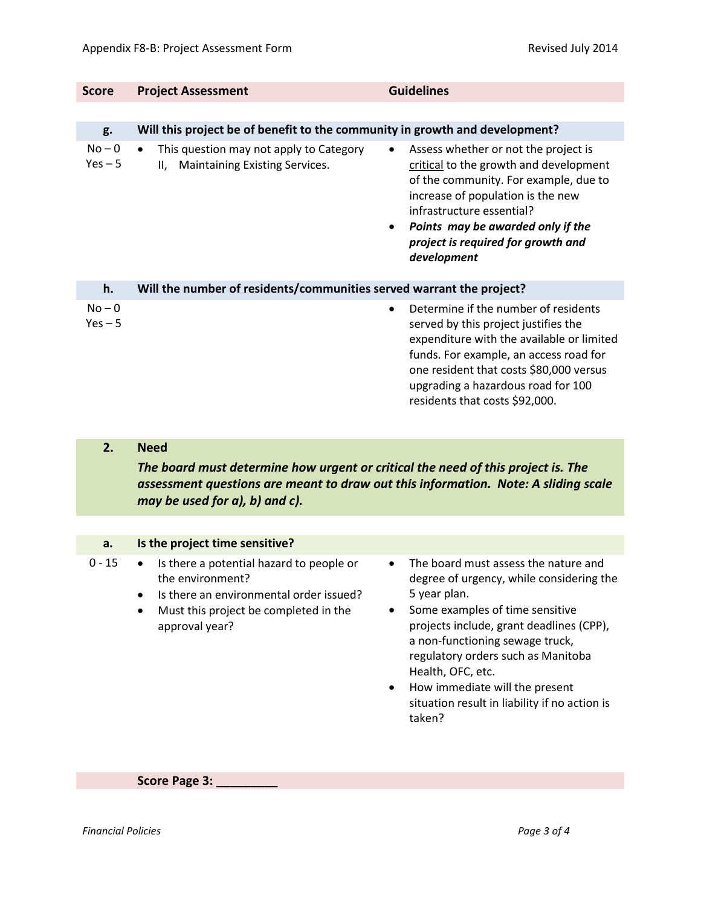| <b>Score</b>          | <b>Project Assessment</b>                                                                    | <b>Guidelines</b>                                                                                                                                                                                                                                                                                |  |
|-----------------------|----------------------------------------------------------------------------------------------|--------------------------------------------------------------------------------------------------------------------------------------------------------------------------------------------------------------------------------------------------------------------------------------------------|--|
|                       |                                                                                              |                                                                                                                                                                                                                                                                                                  |  |
| g.                    | Will this project be of benefit to the community in growth and development?                  |                                                                                                                                                                                                                                                                                                  |  |
| $No - 0$<br>$Yes - 5$ | This question may not apply to Category<br>$\bullet$<br>Maintaining Existing Services.<br>Ш. | Assess whether or not the project is<br>$\bullet$<br>critical to the growth and development<br>of the community. For example, due to<br>increase of population is the new<br>infrastructure essential?<br>Points may be awarded only if the<br>project is required for growth and<br>development |  |
| h.                    | Will the number of residents/communities served warrant the project?                         |                                                                                                                                                                                                                                                                                                  |  |
| $No - 0$<br>$Yes - 5$ |                                                                                              | Determine if the number of residents<br>served by this project justifies the<br>expenditure with the available or limited<br>funds. For example, an access road for<br>one resident that costs \$80,000 versus<br>upgrading a hazardous road for 100<br>residents that costs \$92,000.           |  |

## **2. Need**

*The board must determine how urgent or critical the need of this project is. The assessment questions are meant to draw out this information. Note: A sliding scale may be used for a), b) and c).*

## **a. Is the project time sensitive?**

0 - 15 • Is there a potential hazard to people or the environment?

- Is there an environmental order issued?
- Must this project be completed in the approval year?
- The board must assess the nature and degree of urgency, while considering the 5 year plan.
- Some examples of time sensitive projects include, grant deadlines (CPP), a non-functioning sewage truck, regulatory orders such as Manitoba Health, OFC, etc.
- How immediate will the present situation result in liability if no action is taken?

**Score Page 3: \_\_\_\_\_\_\_\_\_**